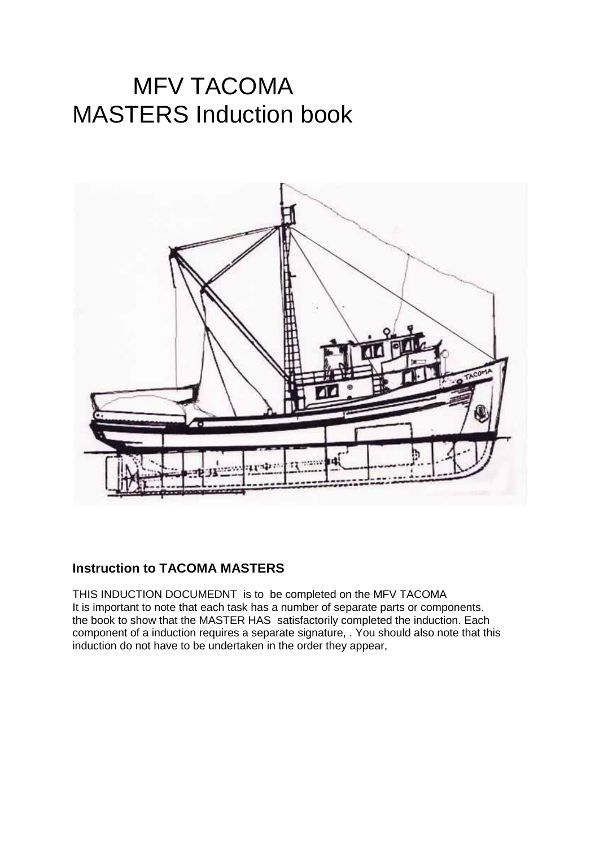## MFV TACOMA MASTERS Induction book



## **Instruction to TACOMA MASTERS**

THIS INDUCTION DOCUMEDNT is to be completed on the MFV TACOMA It is important to note that each task has a number of separate parts or components. the book to show that the MASTER HAS satisfactorily completed the induction. Each component of a induction requires a separate signature, . You should also note that this induction do not have to be undertaken in the order they appear,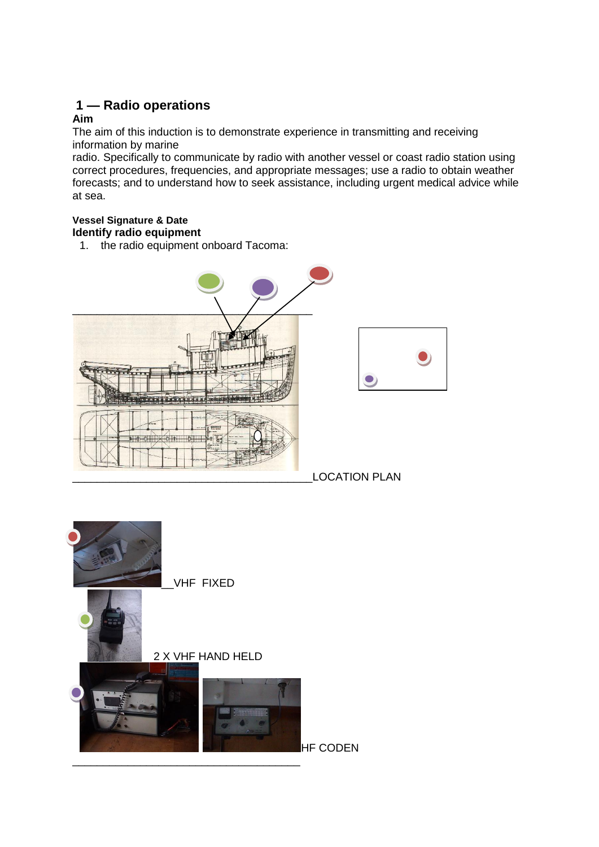## **1 — Radio operations Aim**

The aim of this induction is to demonstrate experience in transmitting and receiving information by marine

radio. Specifically to communicate by radio with another vessel or coast radio station using correct procedures, frequencies, and appropriate messages; use a radio to obtain weather forecasts; and to understand how to seek assistance, including urgent medical advice while at sea.

#### **Vessel Signature & Date Identify radio equipment**

1. the radio equipment onboard Tacoma:



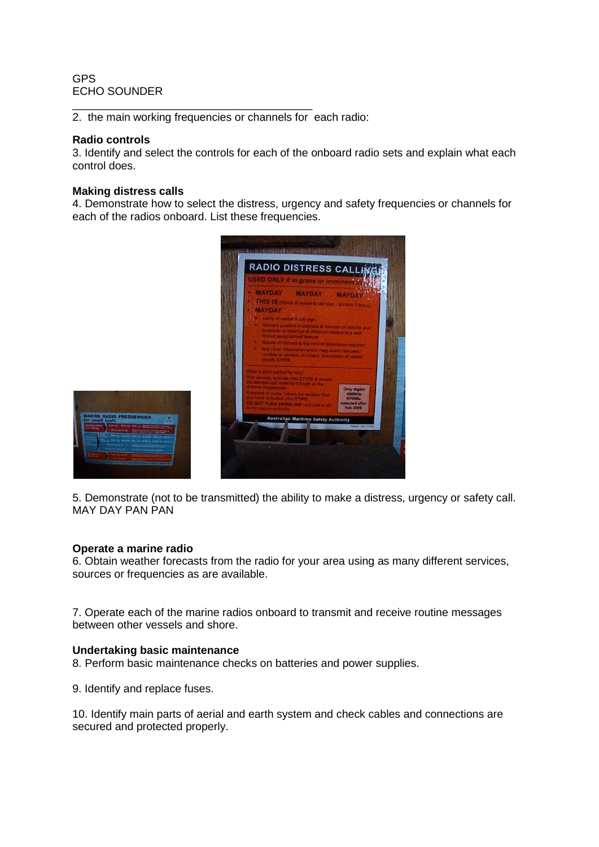#### GPS ECHO SOUNDER

\_\_\_\_\_\_\_\_\_\_\_\_\_\_\_\_\_\_\_\_\_\_\_\_\_\_\_\_\_\_\_\_\_\_\_\_\_\_\_ 2. the main working frequencies or channels for each radio:

#### **Radio controls**

3. Identify and select the controls for each of the onboard radio sets and explain what each control does.

#### **Making distress calls**

4. Demonstrate how to select the distress, urgency and safety frequencies or channels for each of the radios onboard. List these frequencies.





5. Demonstrate (not to be transmitted) the ability to make a distress, urgency or safety call. MAY DAY PAN PAN

#### **Operate a marine radio**

6. Obtain weather forecasts from the radio for your area using as many different services, sources or frequencies as are available.

7. Operate each of the marine radios onboard to transmit and receive routine messages between other vessels and shore.

## **Undertaking basic maintenance**

8. Perform basic maintenance checks on batteries and power supplies.

9. Identify and replace fuses.

10. Identify main parts of aerial and earth system and check cables and connections are secured and protected properly.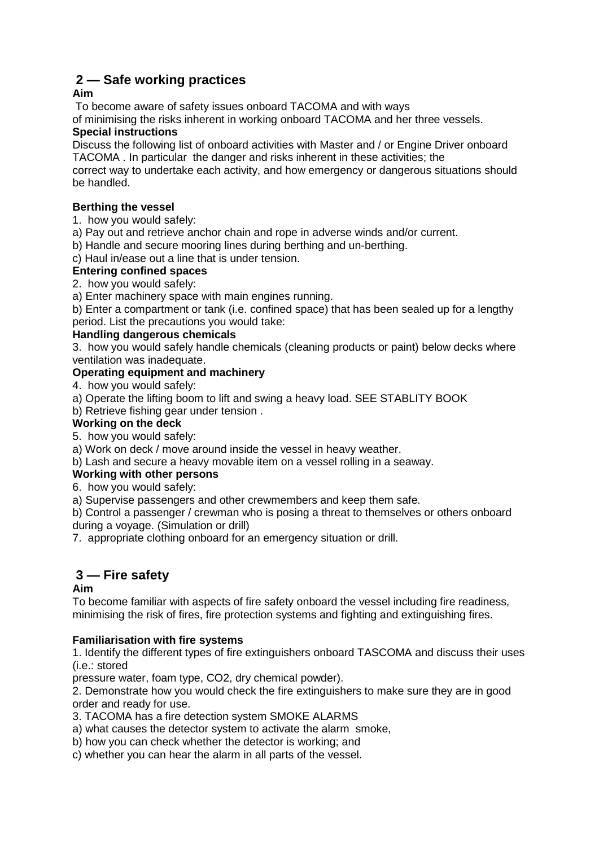## **2 — Safe working practices**

## **Aim**

To become aware of safety issues onboard TACOMA and with ways

of minimising the risks inherent in working onboard TACOMA and her three vessels.

## **Special instructions**

Discuss the following list of onboard activities with Master and / or Engine Driver onboard TACOMA . In particular the danger and risks inherent in these activities; the

correct way to undertake each activity, and how emergency or dangerous situations should be handled.

## **Berthing the vessel**

- 1. how you would safely:
- a) Pay out and retrieve anchor chain and rope in adverse winds and/or current.
- b) Handle and secure mooring lines during berthing and un-berthing.
- c) Haul in/ease out a line that is under tension.

## **Entering confined spaces**

2. how you would safely:

a) Enter machinery space with main engines running.

b) Enter a compartment or tank (i.e. confined space) that has been sealed up for a lengthy period. List the precautions you would take:

## **Handling dangerous chemicals**

3. how you would safely handle chemicals (cleaning products or paint) below decks where ventilation was inadequate.

## **Operating equipment and machinery**

4. how you would safely:

a) Operate the lifting boom to lift and swing a heavy load. SEE STABLITY BOOK

b) Retrieve fishing gear under tension .

## **Working on the deck**

5. how you would safely:

a) Work on deck / move around inside the vessel in heavy weather.

b) Lash and secure a heavy movable item on a vessel rolling in a seaway.

## **Working with other persons**

6. how you would safely:

a) Supervise passengers and other crewmembers and keep them safe.

b) Control a passenger / crewman who is posing a threat to themselves or others onboard during a voyage. (Simulation or drill)

7. appropriate clothing onboard for an emergency situation or drill.

## **3 — Fire safety**

## **Aim**

To become familiar with aspects of fire safety onboard the vessel including fire readiness, minimising the risk of fires, fire protection systems and fighting and extinguishing fires.

## **Familiarisation with fire systems**

1. Identify the different types of fire extinguishers onboard TASCOMA and discuss their uses (i.e.: stored

pressure water, foam type, CO2, dry chemical powder).

2. Demonstrate how you would check the fire extinguishers to make sure they are in good order and ready for use.

3. TACOMA has a fire detection system SMOKE ALARMS

- a) what causes the detector system to activate the alarm smoke,
- b) how you can check whether the detector is working; and
- c) whether you can hear the alarm in all parts of the vessel.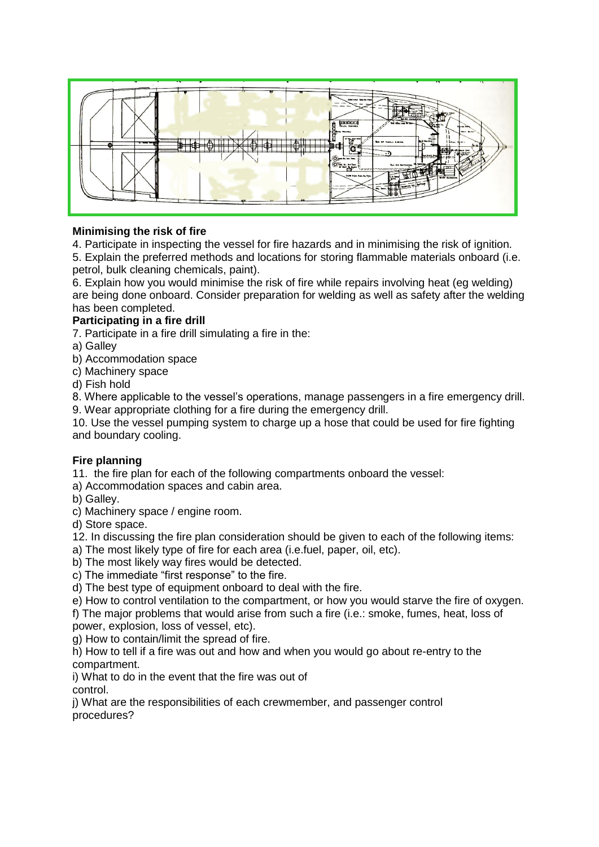

## **Minimising the risk of fire**

4. Participate in inspecting the vessel for fire hazards and in minimising the risk of ignition. 5. Explain the preferred methods and locations for storing flammable materials onboard (i.e. petrol, bulk cleaning chemicals, paint).

6. Explain how you would minimise the risk of fire while repairs involving heat (eg welding) are being done onboard. Consider preparation for welding as well as safety after the welding has been completed.

## **Participating in a fire drill**

7. Participate in a fire drill simulating a fire in the:

- a) Galley
- b) Accommodation space
- c) Machinery space

d) Fish hold

8. Where applicable to the vessel's operations, manage passengers in a fire emergency drill.

9. Wear appropriate clothing for a fire during the emergency drill.

10. Use the vessel pumping system to charge up a hose that could be used for fire fighting and boundary cooling.

## **Fire planning**

11. the fire plan for each of the following compartments onboard the vessel:

a) Accommodation spaces and cabin area.

b) Galley.

c) Machinery space / engine room.

d) Store space.

12. In discussing the fire plan consideration should be given to each of the following items:

a) The most likely type of fire for each area (i.e.fuel, paper, oil, etc).

- b) The most likely way fires would be detected.
- c) The immediate "first response" to the fire.

d) The best type of equipment onboard to deal with the fire.

e) How to control ventilation to the compartment, or how you would starve the fire of oxygen. f) The major problems that would arise from such a fire (i.e.: smoke, fumes, heat, loss of

power, explosion, loss of vessel, etc).

g) How to contain/limit the spread of fire.

h) How to tell if a fire was out and how and when you would go about re-entry to the compartment.

i) What to do in the event that the fire was out of control.

j) What are the responsibilities of each crewmember, and passenger control procedures?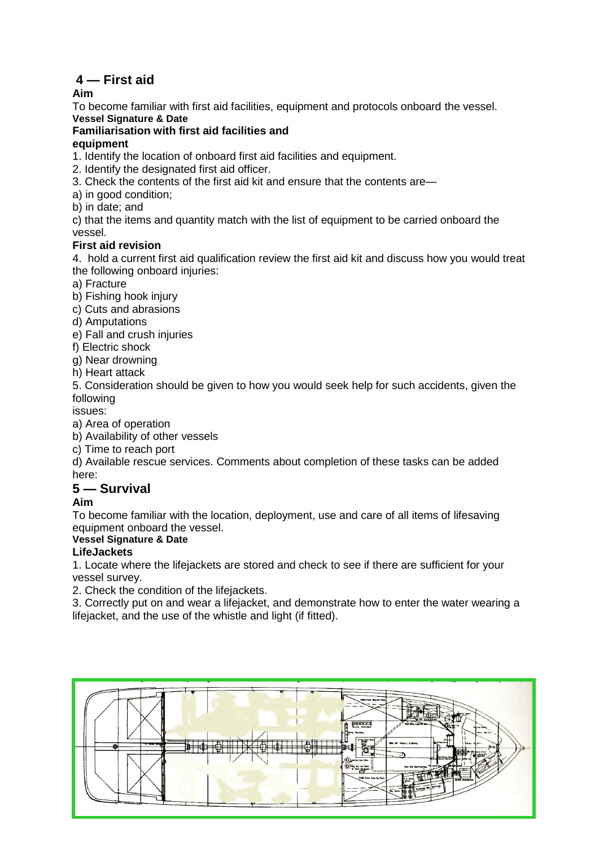## **4 — First aid**

**Aim**

To become familiar with first aid facilities, equipment and protocols onboard the vessel.

## **Vessel Signature & Date**

## **Familiarisation with first aid facilities and**

## **equipment**

1. Identify the location of onboard first aid facilities and equipment.

- 2. Identify the designated first aid officer.
- 3. Check the contents of the first aid kit and ensure that the contents are—
- a) in good condition;
- b) in date; and

c) that the items and quantity match with the list of equipment to be carried onboard the vessel.

## **First aid revision**

4. hold a current first aid qualification review the first aid kit and discuss how you would treat the following onboard injuries:

a) Fracture

b) Fishing hook injury

- c) Cuts and abrasions
- d) Amputations

e) Fall and crush injuries

f) Electric shock

g) Near drowning

h) Heart attack

5. Consideration should be given to how you would seek help for such accidents, given the following

issues:

a) Area of operation

b) Availability of other vessels

c) Time to reach port

d) Available rescue services. Comments about completion of these tasks can be added here:

## **5 — Survival**

## **Aim**

To become familiar with the location, deployment, use and care of all items of lifesaving equipment onboard the vessel.

## **Vessel Signature & Date**

## **LifeJackets**

1. Locate where the lifejackets are stored and check to see if there are sufficient for your vessel survey.

2. Check the condition of the lifejackets.

3. Correctly put on and wear a lifejacket, and demonstrate how to enter the water wearing a lifejacket, and the use of the whistle and light (if fitted).

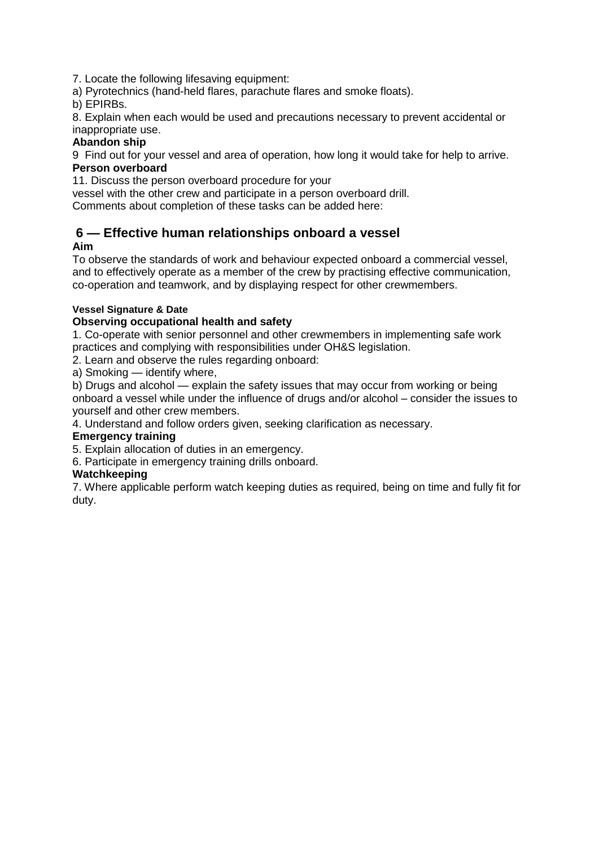7. Locate the following lifesaving equipment:

a) Pyrotechnics (hand-held flares, parachute flares and smoke floats).

b) EPIRBs.

8. Explain when each would be used and precautions necessary to prevent accidental or inappropriate use.

## **Abandon ship**

9 Find out for your vessel and area of operation, how long it would take for help to arrive. **Person overboard**

11. Discuss the person overboard procedure for your

vessel with the other crew and participate in a person overboard drill.

Comments about completion of these tasks can be added here:

## **6 — Effective human relationships onboard a vessel**

## **Aim**

To observe the standards of work and behaviour expected onboard a commercial vessel, and to effectively operate as a member of the crew by practising effective communication, co-operation and teamwork, and by displaying respect for other crewmembers.

## **Vessel Signature & Date**

## **Observing occupational health and safety**

1. Co-operate with senior personnel and other crewmembers in implementing safe work practices and complying with responsibilities under OH&S legislation.

2. Learn and observe the rules regarding onboard:

a) Smoking — identify where,

b) Drugs and alcohol — explain the safety issues that may occur from working or being onboard a vessel while under the influence of drugs and/or alcohol – consider the issues to yourself and other crew members.

4. Understand and follow orders given, seeking clarification as necessary.

## **Emergency training**

5. Explain allocation of duties in an emergency.

6. Participate in emergency training drills onboard.

## **Watchkeeping**

7. Where applicable perform watch keeping duties as required, being on time and fully fit for duty.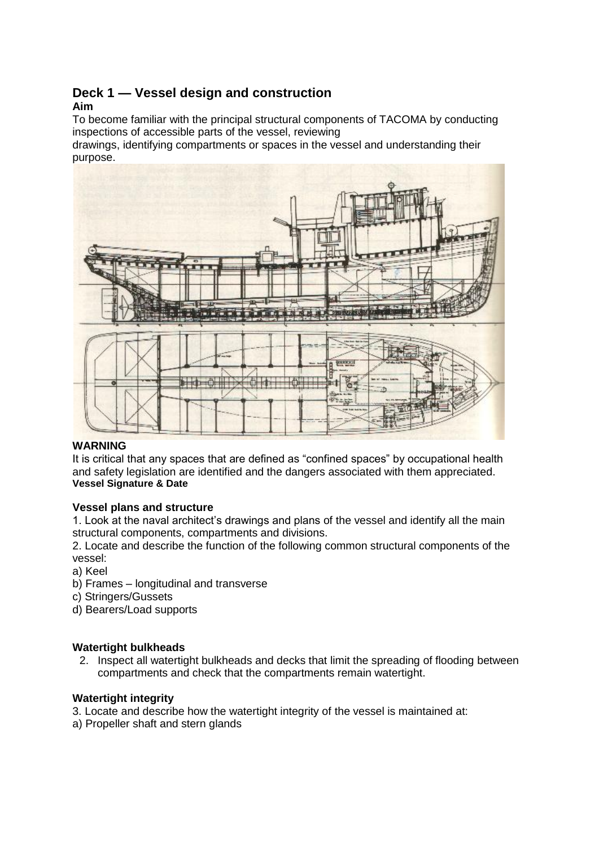## **Deck 1 — Vessel design and construction**

## **Aim**

To become familiar with the principal structural components of TACOMA by conducting inspections of accessible parts of the vessel, reviewing

drawings, identifying compartments or spaces in the vessel and understanding their purpose.



## **WARNING**

It is critical that any spaces that are defined as "confined spaces" by occupational health and safety legislation are identified and the dangers associated with them appreciated. **Vessel Signature & Date**

## **Vessel plans and structure**

1. Look at the naval architect's drawings and plans of the vessel and identify all the main structural components, compartments and divisions.

2. Locate and describe the function of the following common structural components of the vessel:

- a) Keel
- b) Frames longitudinal and transverse
- c) Stringers/Gussets
- d) Bearers/Load supports

## **Watertight bulkheads**

2. Inspect all watertight bulkheads and decks that limit the spreading of flooding between compartments and check that the compartments remain watertight.

## **Watertight integrity**

- 3. Locate and describe how the watertight integrity of the vessel is maintained at:
- a) Propeller shaft and stern glands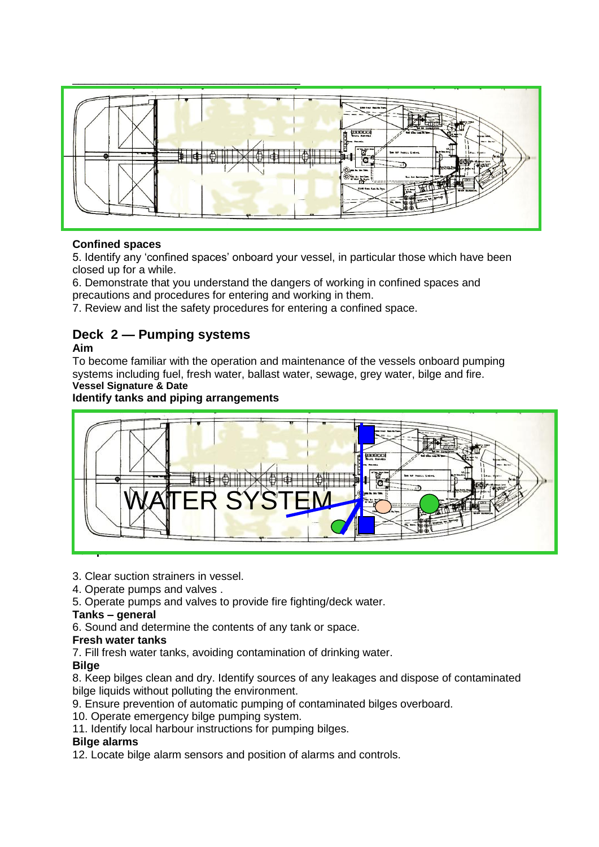

## **Confined spaces**

5. Identify any 'confined spaces' onboard your vessel, in particular those which have been closed up for a while.

6. Demonstrate that you understand the dangers of working in confined spaces and precautions and procedures for entering and working in them.

7. Review and list the safety procedures for entering a confined space.

## **Deck 2 — Pumping systems**

## **Aim**

To become familiar with the operation and maintenance of the vessels onboard pumping systems including fuel, fresh water, ballast water, sewage, grey water, bilge and fire. **Vessel Signature & Date**

## **Identify tanks and piping arrangements**



3. Clear suction strainers in vessel.

4. Operate pumps and valves .

5. Operate pumps and valves to provide fire fighting/deck water.

## **Tanks – general**

6. Sound and determine the contents of any tank or space.

## **Fresh water tanks**

7. Fill fresh water tanks, avoiding contamination of drinking water.

## **Bilge**

8. Keep bilges clean and dry. Identify sources of any leakages and dispose of contaminated bilge liquids without polluting the environment.

9. Ensure prevention of automatic pumping of contaminated bilges overboard.

10. Operate emergency bilge pumping system.

11. Identify local harbour instructions for pumping bilges.

## **Bilge alarms**

12. Locate bilge alarm sensors and position of alarms and controls.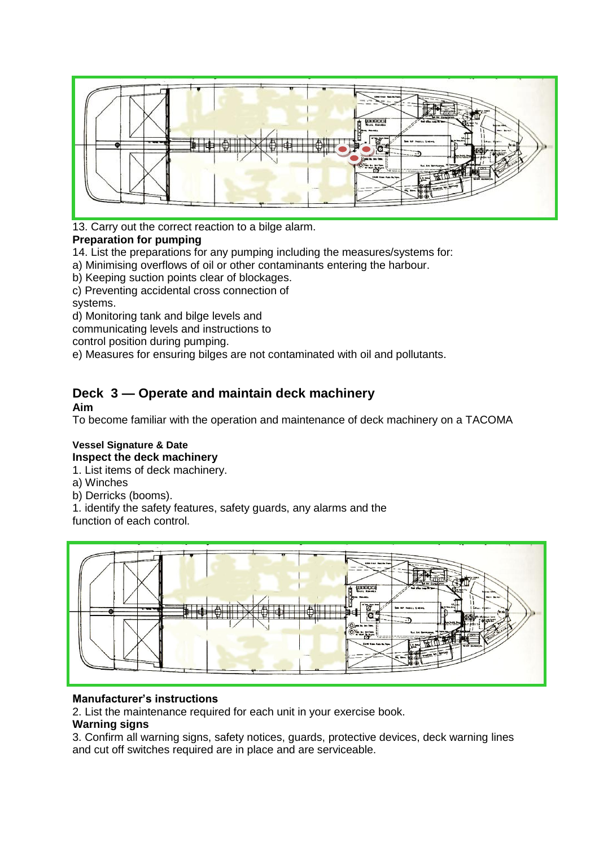

13. Carry out the correct reaction to a bilge alarm.

## **Preparation for pumping**

14. List the preparations for any pumping including the measures/systems for:

a) Minimising overflows of oil or other contaminants entering the harbour.

b) Keeping suction points clear of blockages.

c) Preventing accidental cross connection of systems.

d) Monitoring tank and bilge levels and

communicating levels and instructions to

control position during pumping.

e) Measures for ensuring bilges are not contaminated with oil and pollutants.

## **Deck 3 — Operate and maintain deck machinery Aim**

To become familiar with the operation and maintenance of deck machinery on a TACOMA

#### **Vessel Signature & Date Inspect the deck machinery**

1. List items of deck machinery.

a) Winches

b) Derricks (booms).

1. identify the safety features, safety guards, any alarms and the function of each control.



## **Manufacturer's instructions**

2. List the maintenance required for each unit in your exercise book.

## **Warning signs**

3. Confirm all warning signs, safety notices, guards, protective devices, deck warning lines and cut off switches required are in place and are serviceable.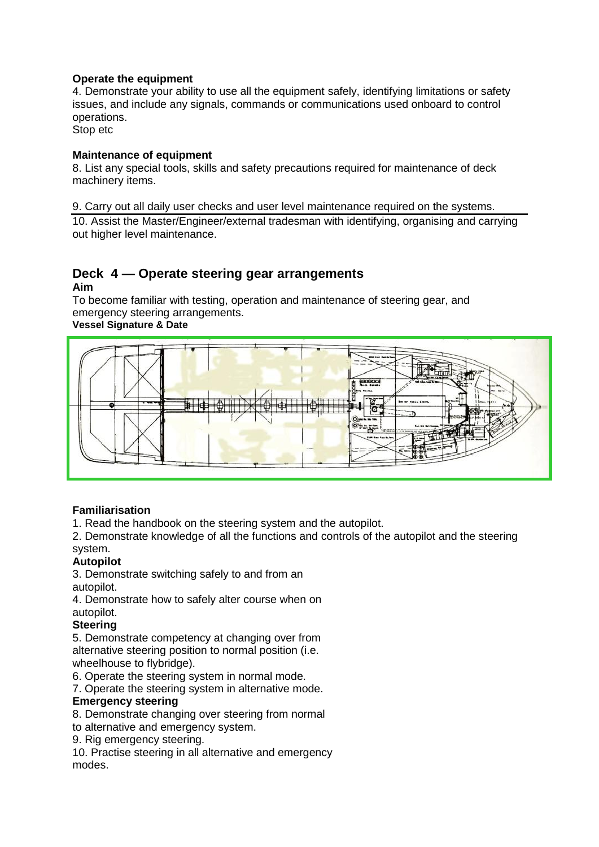## **Operate the equipment**

4. Demonstrate your ability to use all the equipment safely, identifying limitations or safety issues, and include any signals, commands or communications used onboard to control operations.

Stop etc

## **Maintenance of equipment**

8. List any special tools, skills and safety precautions required for maintenance of deck machinery items.

9. Carry out all daily user checks and user level maintenance required on the systems.

10. Assist the Master/Engineer/external tradesman with identifying, organising and carrying out higher level maintenance.

#### **Deck 4 — Operate steering gear arrangements Aim**

To become familiar with testing, operation and maintenance of steering gear, and emergency steering arrangements.

## **Vessel Signature & Date**



## **Familiarisation**

1. Read the handbook on the steering system and the autopilot.

2. Demonstrate knowledge of all the functions and controls of the autopilot and the steering system.

## **Autopilot**

3. Demonstrate switching safely to and from an autopilot.

4. Demonstrate how to safely alter course when on autopilot.

## **Steering**

5. Demonstrate competency at changing over from alternative steering position to normal position (i.e. wheelhouse to flybridge).

6. Operate the steering system in normal mode.

7. Operate the steering system in alternative mode.

## **Emergency steering**

8. Demonstrate changing over steering from normal

to alternative and emergency system.

9. Rig emergency steering.

10. Practise steering in all alternative and emergency modes.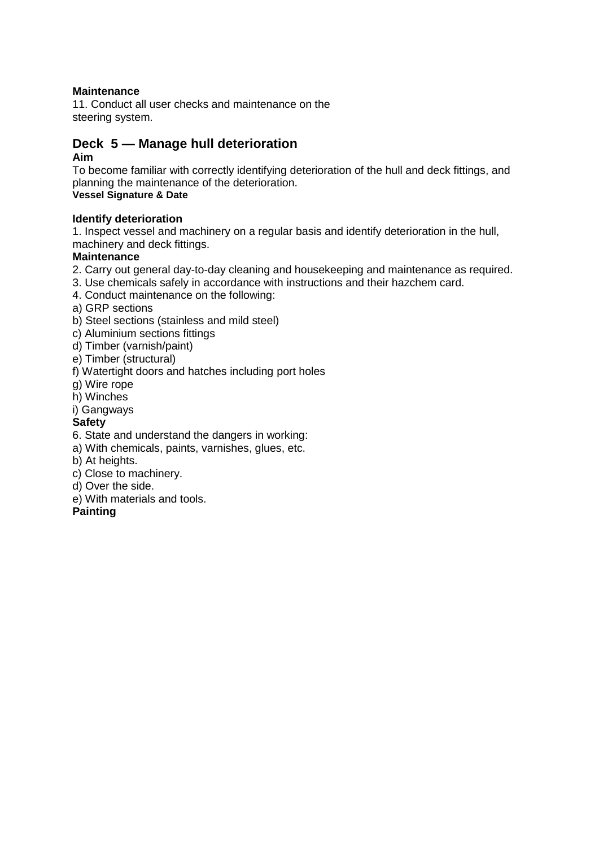## **Maintenance**

11. Conduct all user checks and maintenance on the steering system.

## **Deck 5 — Manage hull deterioration**

## **Aim**

To become familiar with correctly identifying deterioration of the hull and deck fittings, and planning the maintenance of the deterioration. **Vessel Signature & Date**

## **Identify deterioration**

1. Inspect vessel and machinery on a regular basis and identify deterioration in the hull, machinery and deck fittings.

## **Maintenance**

- 2. Carry out general day-to-day cleaning and housekeeping and maintenance as required.
- 3. Use chemicals safely in accordance with instructions and their hazchem card.
- 4. Conduct maintenance on the following:

a) GRP sections

- b) Steel sections (stainless and mild steel)
- c) Aluminium sections fittings
- d) Timber (varnish/paint)
- e) Timber (structural)
- f) Watertight doors and hatches including port holes
- g) Wire rope
- h) Winches
- i) Gangways

## **Safety**

- 6. State and understand the dangers in working:
- a) With chemicals, paints, varnishes, glues, etc.
- b) At heights.
- c) Close to machinery.
- d) Over the side.
- e) With materials and tools.

## **Painting**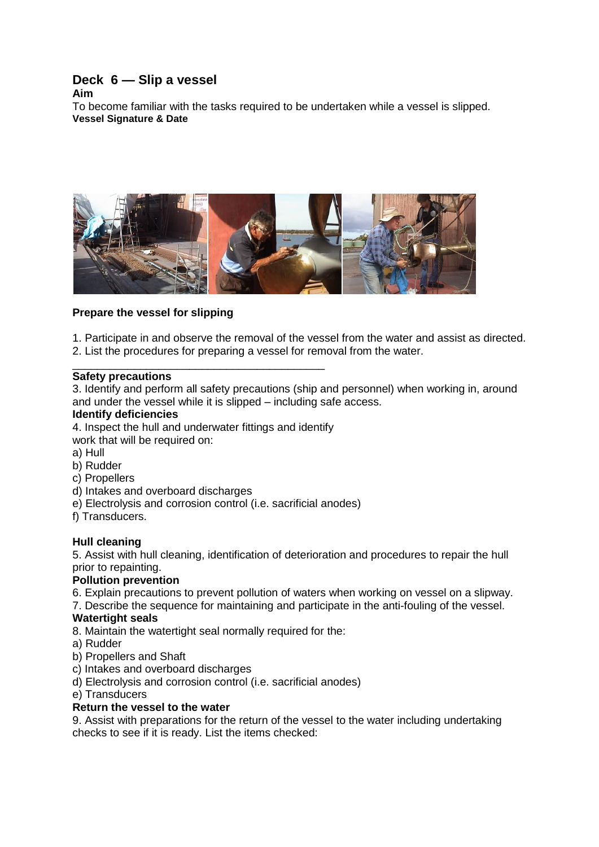## **Deck 6 — Slip a vessel**

**Aim**

To become familiar with the tasks required to be undertaken while a vessel is slipped. **Vessel Signature & Date**



## **Prepare the vessel for slipping**

1. Participate in and observe the removal of the vessel from the water and assist as directed. 2. List the procedures for preparing a vessel for removal from the water.

#### \_\_\_\_\_\_\_\_\_\_\_\_\_\_\_\_\_\_\_\_\_\_\_\_\_\_\_\_\_\_\_\_\_\_\_\_\_\_\_\_\_ **Safety precautions**

3. Identify and perform all safety precautions (ship and personnel) when working in, around and under the vessel while it is slipped – including safe access.

#### **Identify deficiencies**

4. Inspect the hull and underwater fittings and identify

- work that will be required on:
- a) Hull
- b) Rudder
- c) Propellers
- d) Intakes and overboard discharges
- e) Electrolysis and corrosion control (i.e. sacrificial anodes)
- f) Transducers.

## **Hull cleaning**

5. Assist with hull cleaning, identification of deterioration and procedures to repair the hull prior to repainting.

## **Pollution prevention**

6. Explain precautions to prevent pollution of waters when working on vessel on a slipway.

7. Describe the sequence for maintaining and participate in the anti-fouling of the vessel.

## **Watertight seals**

- 8. Maintain the watertight seal normally required for the:
- a) Rudder
- b) Propellers and Shaft
- c) Intakes and overboard discharges

d) Electrolysis and corrosion control (i.e. sacrificial anodes)

e) Transducers

## **Return the vessel to the water**

9. Assist with preparations for the return of the vessel to the water including undertaking checks to see if it is ready. List the items checked: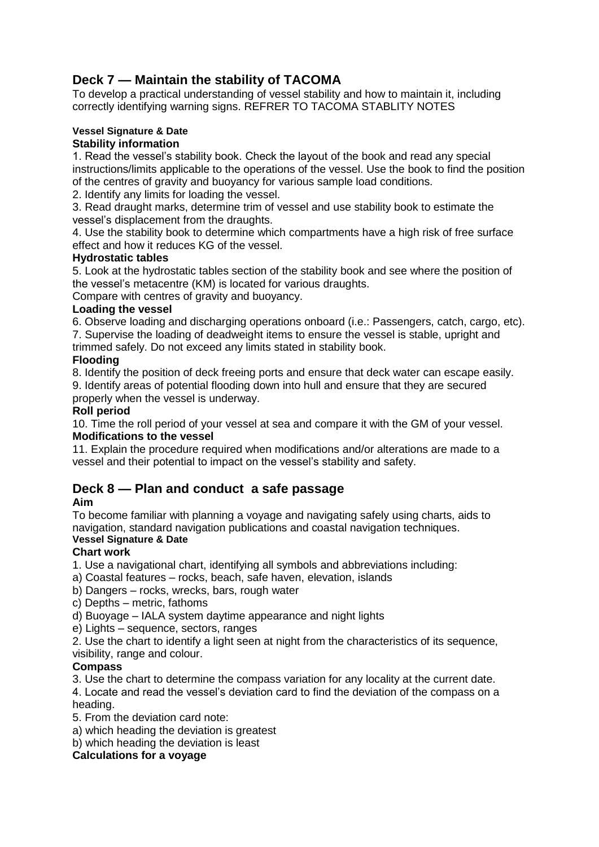## **Deck 7 — Maintain the stability of TACOMA**

To develop a practical understanding of vessel stability and how to maintain it, including correctly identifying warning signs. REFRER TO TACOMA STABLITY NOTES

## **Vessel Signature & Date**

## **Stability information**

1. Read the vessel's stability book. Check the layout of the book and read any special instructions/limits applicable to the operations of the vessel. Use the book to find the position of the centres of gravity and buoyancy for various sample load conditions.

2. Identify any limits for loading the vessel.

3. Read draught marks, determine trim of vessel and use stability book to estimate the vessel's displacement from the draughts.

4. Use the stability book to determine which compartments have a high risk of free surface effect and how it reduces KG of the vessel.

## **Hydrostatic tables**

5. Look at the hydrostatic tables section of the stability book and see where the position of the vessel's metacentre (KM) is located for various draughts.

Compare with centres of gravity and buoyancy.

## **Loading the vessel**

6. Observe loading and discharging operations onboard (i.e.: Passengers, catch, cargo, etc). 7. Supervise the loading of deadweight items to ensure the vessel is stable, upright and

trimmed safely. Do not exceed any limits stated in stability book.

## **Flooding**

8. Identify the position of deck freeing ports and ensure that deck water can escape easily. 9. Identify areas of potential flooding down into hull and ensure that they are secured properly when the vessel is underway.

## **Roll period**

10. Time the roll period of your vessel at sea and compare it with the GM of your vessel. **Modifications to the vessel**

11. Explain the procedure required when modifications and/or alterations are made to a vessel and their potential to impact on the vessel's stability and safety.

## **Deck 8 — Plan and conduct a safe passage**

## **Aim**

To become familiar with planning a voyage and navigating safely using charts, aids to navigation, standard navigation publications and coastal navigation techniques. **Vessel Signature & Date**

## **Chart work**

1. Use a navigational chart, identifying all symbols and abbreviations including:

- a) Coastal features rocks, beach, safe haven, elevation, islands
- b) Dangers rocks, wrecks, bars, rough water
- c) Depths metric, fathoms

d) Buoyage – IALA system daytime appearance and night lights

e) Lights – sequence, sectors, ranges

2. Use the chart to identify a light seen at night from the characteristics of its sequence, visibility, range and colour.

## **Compass**

3. Use the chart to determine the compass variation for any locality at the current date.

4. Locate and read the vessel's deviation card to find the deviation of the compass on a heading.

5. From the deviation card note:

a) which heading the deviation is greatest

b) which heading the deviation is least

## **Calculations for a voyage**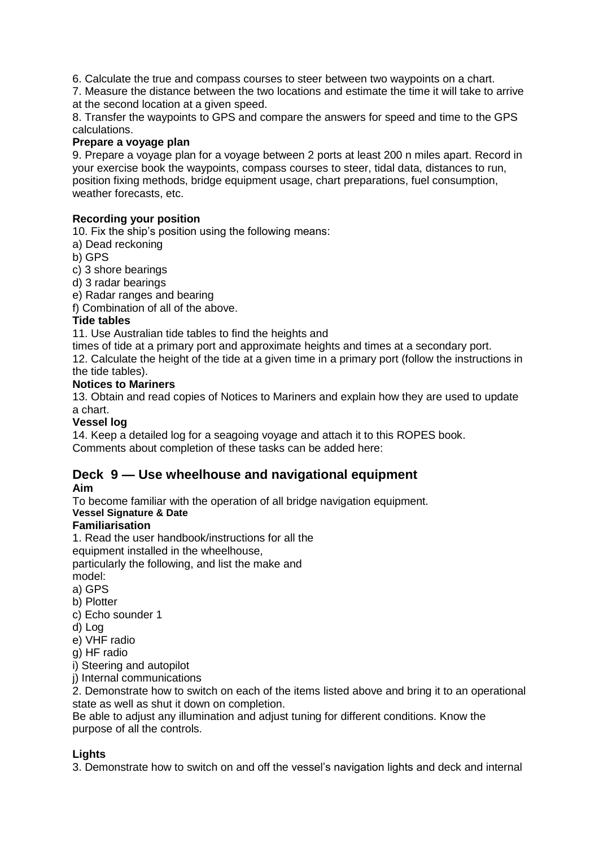6. Calculate the true and compass courses to steer between two waypoints on a chart.

7. Measure the distance between the two locations and estimate the time it will take to arrive at the second location at a given speed.

8. Transfer the waypoints to GPS and compare the answers for speed and time to the GPS calculations.

## **Prepare a voyage plan**

9. Prepare a voyage plan for a voyage between 2 ports at least 200 n miles apart. Record in your exercise book the waypoints, compass courses to steer, tidal data, distances to run, position fixing methods, bridge equipment usage, chart preparations, fuel consumption, weather forecasts, etc.

## **Recording your position**

10. Fix the ship's position using the following means:

a) Dead reckoning

b) GPS

c) 3 shore bearings

d) 3 radar bearings

e) Radar ranges and bearing

f) Combination of all of the above.

## **Tide tables**

11. Use Australian tide tables to find the heights and

times of tide at a primary port and approximate heights and times at a secondary port.

12. Calculate the height of the tide at a given time in a primary port (follow the instructions in the tide tables).

## **Notices to Mariners**

13. Obtain and read copies of Notices to Mariners and explain how they are used to update a chart.

## **Vessel log**

14. Keep a detailed log for a seagoing voyage and attach it to this ROPES book. Comments about completion of these tasks can be added here:

## **Deck 9 — Use wheelhouse and navigational equipment**

## **Aim**

To become familiar with the operation of all bridge navigation equipment.

## **Vessel Signature & Date**

## **Familiarisation**

1. Read the user handbook/instructions for all the

equipment installed in the wheelhouse,

particularly the following, and list the make and

model:

- a) GPS
- b) Plotter
- c) Echo sounder 1
- d) Log
- e) VHF radio
- g) HF radio

i) Steering and autopilot

j) Internal communications

2. Demonstrate how to switch on each of the items listed above and bring it to an operational state as well as shut it down on completion.

Be able to adjust any illumination and adjust tuning for different conditions. Know the purpose of all the controls.

## **Lights**

3. Demonstrate how to switch on and off the vessel's navigation lights and deck and internal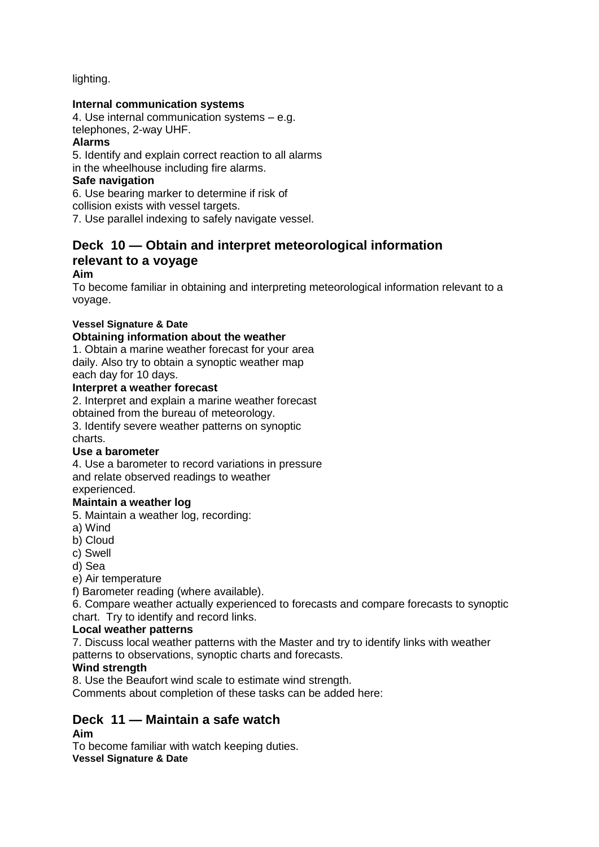lighting.

## **Internal communication systems**

4. Use internal communication systems – e.g. telephones, 2-way UHF.

## **Alarms**

5. Identify and explain correct reaction to all alarms

in the wheelhouse including fire alarms.

## **Safe navigation**

6. Use bearing marker to determine if risk of

collision exists with vessel targets.

7. Use parallel indexing to safely navigate vessel.

## **Deck 10 — Obtain and interpret meteorological information relevant to a voyage**

## **Aim**

To become familiar in obtaining and interpreting meteorological information relevant to a voyage.

## **Vessel Signature & Date**

## **Obtaining information about the weather**

1. Obtain a marine weather forecast for your area daily. Also try to obtain a synoptic weather map each day for 10 days.

## **Interpret a weather forecast**

2. Interpret and explain a marine weather forecast

obtained from the bureau of meteorology.

3. Identify severe weather patterns on synoptic charts.

## **Use a barometer**

4. Use a barometer to record variations in pressure and relate observed readings to weather experienced.

## **Maintain a weather log**

5. Maintain a weather log, recording:

a) Wind

b) Cloud

c) Swell

d) Sea

e) Air temperature

f) Barometer reading (where available).

6. Compare weather actually experienced to forecasts and compare forecasts to synoptic chart. Try to identify and record links.

## **Local weather patterns**

7. Discuss local weather patterns with the Master and try to identify links with weather patterns to observations, synoptic charts and forecasts.

## **Wind strength**

8. Use the Beaufort wind scale to estimate wind strength.

Comments about completion of these tasks can be added here:

## **Deck 11 — Maintain a safe watch**

## **Aim**

To become familiar with watch keeping duties. **Vessel Signature & Date**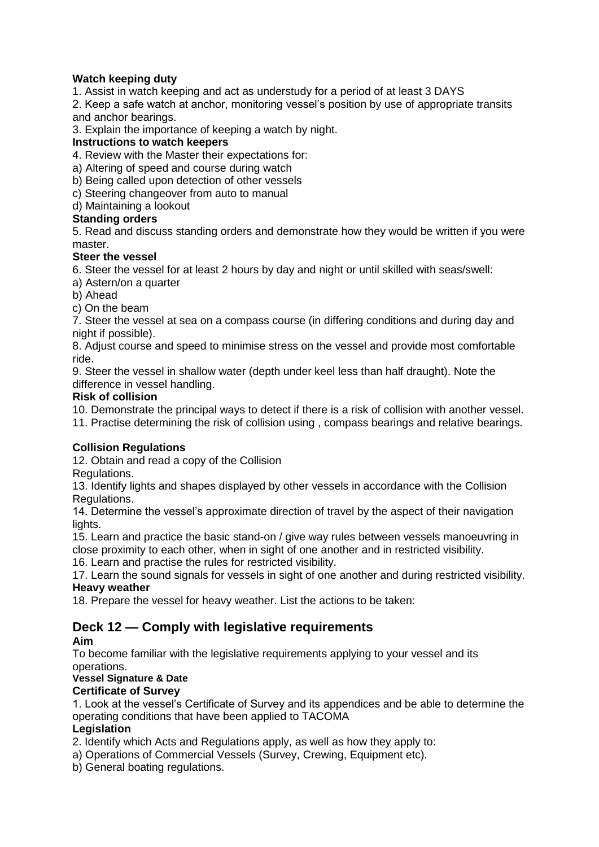## **Watch keeping duty**

1. Assist in watch keeping and act as understudy for a period of at least 3 DAYS

2. Keep a safe watch at anchor, monitoring vessel's position by use of appropriate transits and anchor bearings.

3. Explain the importance of keeping a watch by night.

## **Instructions to watch keepers**

4. Review with the Master their expectations for:

a) Altering of speed and course during watch

b) Being called upon detection of other vessels

c) Steering changeover from auto to manual

d) Maintaining a lookout

## **Standing orders**

5. Read and discuss standing orders and demonstrate how they would be written if you were master.

## **Steer the vessel**

6. Steer the vessel for at least 2 hours by day and night or until skilled with seas/swell:

a) Astern/on a quarter

b) Ahead

c) On the beam

7. Steer the vessel at sea on a compass course (in differing conditions and during day and night if possible).

8. Adjust course and speed to minimise stress on the vessel and provide most comfortable ride.

9. Steer the vessel in shallow water (depth under keel less than half draught). Note the difference in vessel handling.

## **Risk of collision**

10. Demonstrate the principal ways to detect if there is a risk of collision with another vessel.

11. Practise determining the risk of collision using , compass bearings and relative bearings.

## **Collision Regulations**

12. Obtain and read a copy of the Collision

Regulations.

13. Identify lights and shapes displayed by other vessels in accordance with the Collision Regulations.

14. Determine the vessel's approximate direction of travel by the aspect of their navigation lights.

15. Learn and practice the basic stand-on / give way rules between vessels manoeuvring in close proximity to each other, when in sight of one another and in restricted visibility.

16. Learn and practise the rules for restricted visibility.

17. Learn the sound signals for vessels in sight of one another and during restricted visibility. **Heavy weather**

18. Prepare the vessel for heavy weather. List the actions to be taken:

## **Deck 12 — Comply with legislative requirements**

## **Aim**

To become familiar with the legislative requirements applying to your vessel and its operations.

## **Vessel Signature & Date**

## **Certificate of Survey**

1. Look at the vessel's Certificate of Survey and its appendices and be able to determine the operating conditions that have been applied to TACOMA

## **Legislation**

2. Identify which Acts and Regulations apply, as well as how they apply to:

a) Operations of Commercial Vessels (Survey, Crewing, Equipment etc).

b) General boating regulations.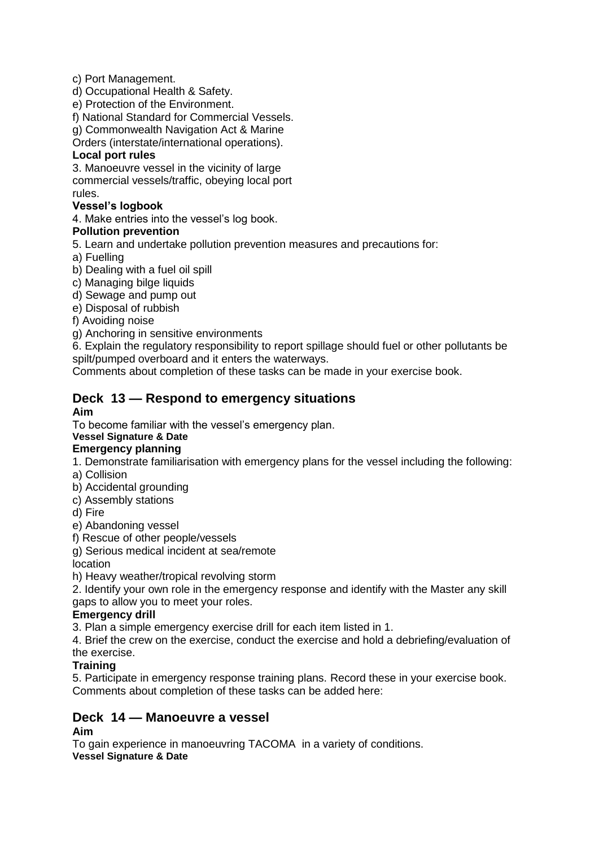c) Port Management.

d) Occupational Health & Safety.

e) Protection of the Environment.

f) National Standard for Commercial Vessels.

g) Commonwealth Navigation Act & Marine

Orders (interstate/international operations).

## **Local port rules**

3. Manoeuvre vessel in the vicinity of large commercial vessels/traffic, obeying local port rules.

## **Vessel's logbook**

4. Make entries into the vessel's log book.

## **Pollution prevention**

5. Learn and undertake pollution prevention measures and precautions for:

a) Fuelling

b) Dealing with a fuel oil spill

c) Managing bilge liquids

d) Sewage and pump out

e) Disposal of rubbish

f) Avoiding noise

g) Anchoring in sensitive environments

6. Explain the regulatory responsibility to report spillage should fuel or other pollutants be spilt/pumped overboard and it enters the waterways.

Comments about completion of these tasks can be made in your exercise book.

## **Deck 13 — Respond to emergency situations**

## **Aim**

To become familiar with the vessel's emergency plan.

## **Vessel Signature & Date**

## **Emergency planning**

1. Demonstrate familiarisation with emergency plans for the vessel including the following:

- a) Collision
- b) Accidental grounding
- c) Assembly stations

d) Fire

- e) Abandoning vessel
- f) Rescue of other people/vessels

g) Serious medical incident at sea/remote

location

h) Heavy weather/tropical revolving storm

2. Identify your own role in the emergency response and identify with the Master any skill gaps to allow you to meet your roles.

## **Emergency drill**

3. Plan a simple emergency exercise drill for each item listed in 1.

4. Brief the crew on the exercise, conduct the exercise and hold a debriefing/evaluation of the exercise.

## **Training**

5. Participate in emergency response training plans. Record these in your exercise book. Comments about completion of these tasks can be added here:

## **Deck 14 — Manoeuvre a vessel**

## **Aim**

To gain experience in manoeuvring TACOMA in a variety of conditions. **Vessel Signature & Date**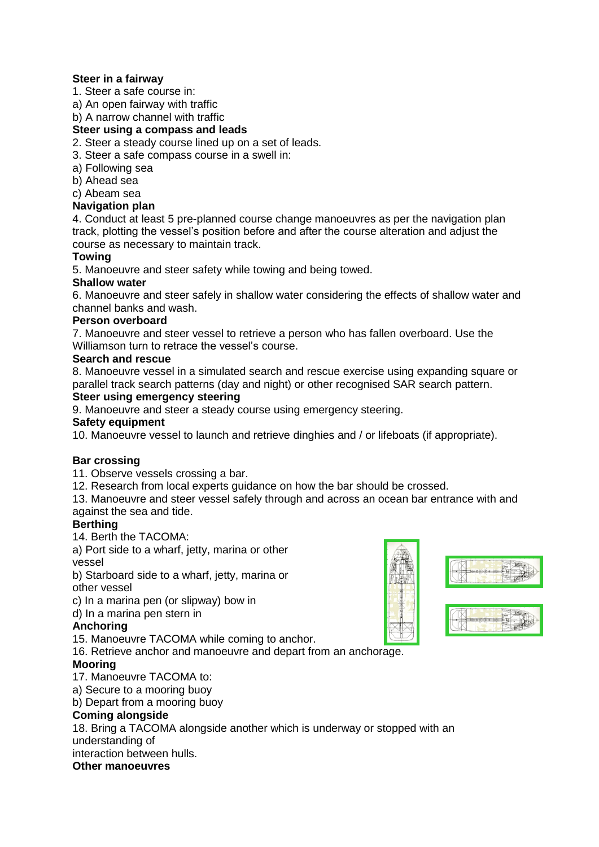## **Steer in a fairway**

1. Steer a safe course in:

a) An open fairway with traffic

b) A narrow channel with traffic

**Steer using a compass and leads**

2. Steer a steady course lined up on a set of leads.

3. Steer a safe compass course in a swell in:

- a) Following sea
- b) Ahead sea

## c) Abeam sea

## **Navigation plan**

4. Conduct at least 5 pre-planned course change manoeuvres as per the navigation plan track, plotting the vessel's position before and after the course alteration and adjust the course as necessary to maintain track.

## **Towing**

5. Manoeuvre and steer safety while towing and being towed.

## **Shallow water**

6. Manoeuvre and steer safely in shallow water considering the effects of shallow water and channel banks and wash.

## **Person overboard**

7. Manoeuvre and steer vessel to retrieve a person who has fallen overboard. Use the Williamson turn to retrace the vessel's course.

## **Search and rescue**

8. Manoeuvre vessel in a simulated search and rescue exercise using expanding square or parallel track search patterns (day and night) or other recognised SAR search pattern.

## **Steer using emergency steering**

9. Manoeuvre and steer a steady course using emergency steering.

## **Safety equipment**

10. Manoeuvre vessel to launch and retrieve dinghies and / or lifeboats (if appropriate).

## **Bar crossing**

11. Observe vessels crossing a bar.

12. Research from local experts guidance on how the bar should be crossed.

13. Manoeuvre and steer vessel safely through and across an ocean bar entrance with and against the sea and tide.

## **Berthing**

14. Berth the TACOMA:

a) Port side to a wharf, jetty, marina or other vessel

b) Starboard side to a wharf, jetty, marina or other vessel

c) In a marina pen (or slipway) bow in

d) In a marina pen stern in

## **Anchoring**

15. Manoeuvre TACOMA while coming to anchor.

16. Retrieve anchor and manoeuvre and depart from an anchorage.

## **Mooring**

17. Manoeuvre TACOMA to:

a) Secure to a mooring buoy

b) Depart from a mooring buoy

## **Coming alongside**

18. Bring a TACOMA alongside another which is underway or stopped with an understanding of

interaction between hulls.

## **Other manoeuvres**



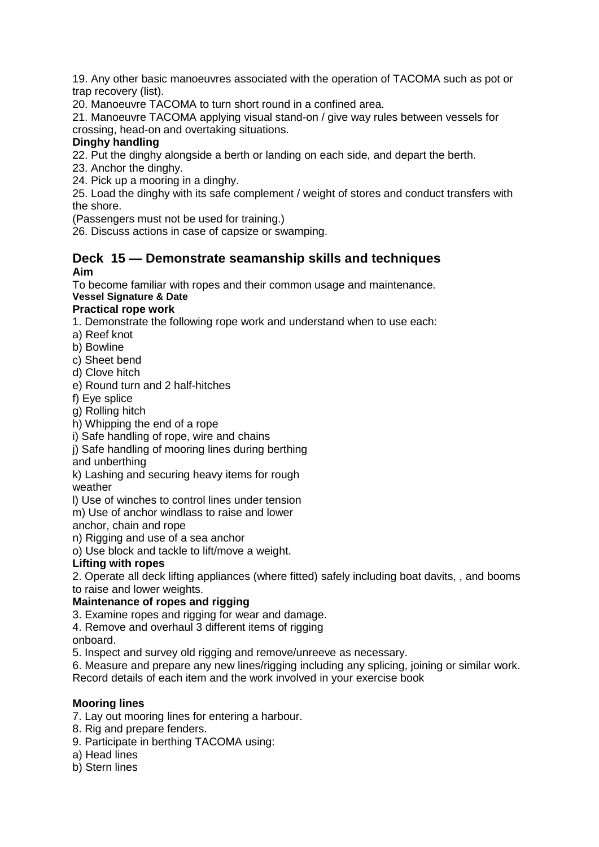19. Any other basic manoeuvres associated with the operation of TACOMA such as pot or trap recovery (list).

20. Manoeuvre TACOMA to turn short round in a confined area.

21. Manoeuvre TACOMA applying visual stand-on / give way rules between vessels for crossing, head-on and overtaking situations.

## **Dinghy handling**

22. Put the dinghy alongside a berth or landing on each side, and depart the berth.

23. Anchor the dinghy.

24. Pick up a mooring in a dinghy.

25. Load the dinghy with its safe complement / weight of stores and conduct transfers with the shore.

(Passengers must not be used for training.)

26. Discuss actions in case of capsize or swamping.

## **Deck 15 — Demonstrate seamanship skills and techniques Aim**

To become familiar with ropes and their common usage and maintenance.

#### **Vessel Signature & Date Practical rope work**

1. Demonstrate the following rope work and understand when to use each:

- a) Reef knot
- b) Bowline
- c) Sheet bend
- d) Clove hitch
- e) Round turn and 2 half-hitches
- f) Eye splice
- g) Rolling hitch
- h) Whipping the end of a rope
- i) Safe handling of rope, wire and chains
- j) Safe handling of mooring lines during berthing
- and unberthing

k) Lashing and securing heavy items for rough

weather

l) Use of winches to control lines under tension

m) Use of anchor windlass to raise and lower

anchor, chain and rope

n) Rigging and use of a sea anchor

o) Use block and tackle to lift/move a weight.

## **Lifting with ropes**

2. Operate all deck lifting appliances (where fitted) safely including boat davits, , and booms to raise and lower weights.

## **Maintenance of ropes and rigging**

3. Examine ropes and rigging for wear and damage.

4. Remove and overhaul 3 different items of rigging

onboard.

5. Inspect and survey old rigging and remove/unreeve as necessary.

6. Measure and prepare any new lines/rigging including any splicing, joining or similar work.

Record details of each item and the work involved in your exercise book

## **Mooring lines**

7. Lay out mooring lines for entering a harbour.

- 8. Rig and prepare fenders.
- 9. Participate in berthing TACOMA using:
- a) Head lines
- b) Stern lines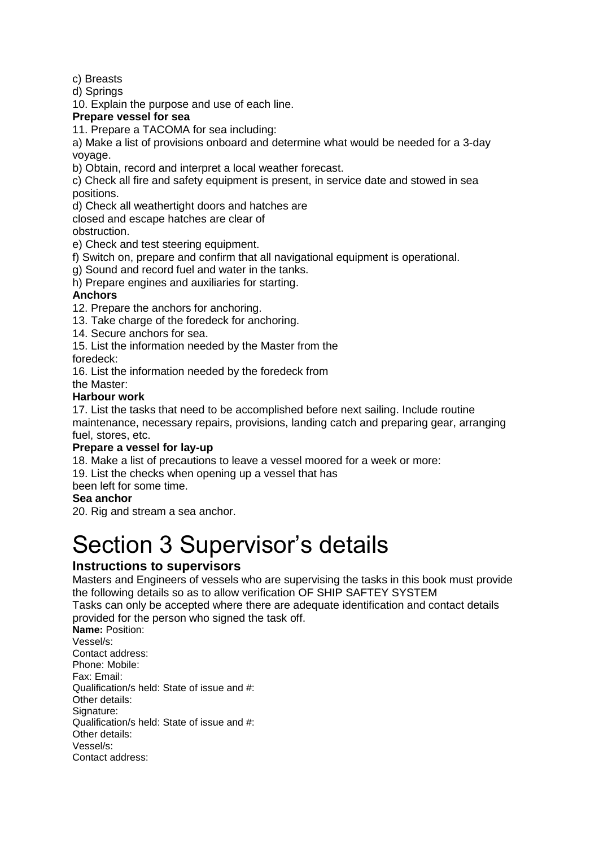c) Breasts

d) Springs

10. Explain the purpose and use of each line.

## **Prepare vessel for sea**

11. Prepare a TACOMA for sea including:

a) Make a list of provisions onboard and determine what would be needed for a 3-day voyage.

b) Obtain, record and interpret a local weather forecast.

c) Check all fire and safety equipment is present, in service date and stowed in sea positions.

d) Check all weathertight doors and hatches are

closed and escape hatches are clear of

obstruction.

e) Check and test steering equipment.

f) Switch on, prepare and confirm that all navigational equipment is operational.

g) Sound and record fuel and water in the tanks.

h) Prepare engines and auxiliaries for starting.

## **Anchors**

12. Prepare the anchors for anchoring.

13. Take charge of the foredeck for anchoring.

14. Secure anchors for sea.

15. List the information needed by the Master from the

foredeck:

16. List the information needed by the foredeck from

the Master:

## **Harbour work**

17. List the tasks that need to be accomplished before next sailing. Include routine maintenance, necessary repairs, provisions, landing catch and preparing gear, arranging fuel, stores, etc.

## **Prepare a vessel for lay-up**

18. Make a list of precautions to leave a vessel moored for a week or more:

19. List the checks when opening up a vessel that has

been left for some time.

## **Sea anchor**

20. Rig and stream a sea anchor.

## Section 3 Supervisor's details

## **Instructions to supervisors**

Masters and Engineers of vessels who are supervising the tasks in this book must provide the following details so as to allow verification OF SHIP SAFTEY SYSTEM

Tasks can only be accepted where there are adequate identification and contact details provided for the person who signed the task off.

**Name: Position:** Vessel/s: Contact address: Phone: Mobile: Fax: Email: Qualification/s held: State of issue and #: Other details: Signature: Qualification/s held: State of issue and #: Other details: Vessel/s: Contact address: